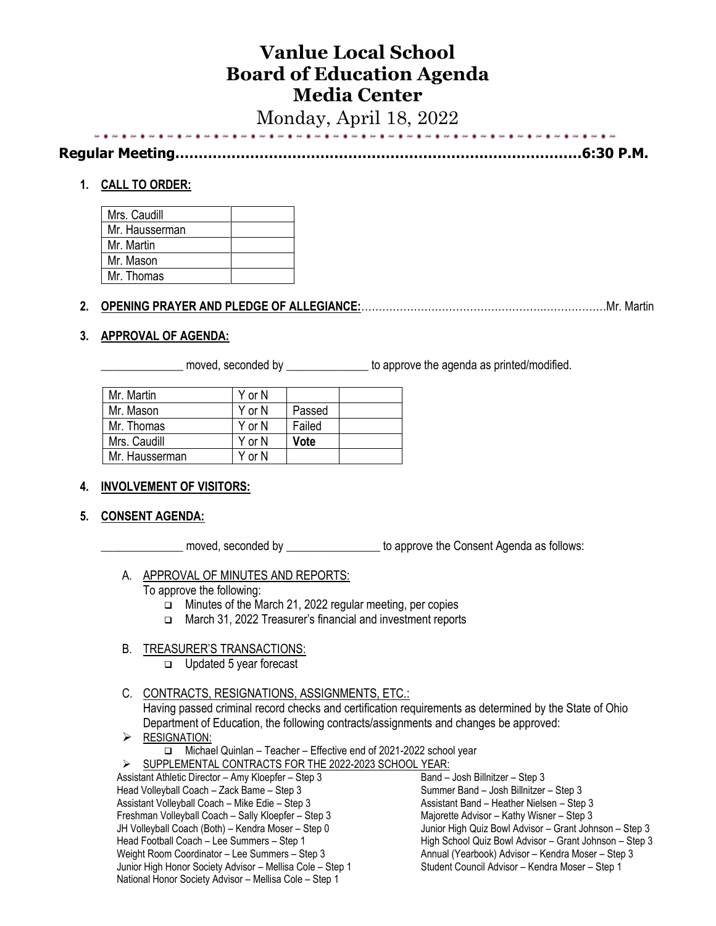# **Vanlue Local School Board of Education Agenda Media Center**

Monday, April 18, 2022

| Demokratika - Marshiman | 6.50B1 |
|-------------------------|--------|
|                         |        |

**Regular Meeting……………………………………………………………………………6:30 P.M.**

# **1. CALL TO ORDER:**

| Mrs. Caudill   |  |
|----------------|--|
| Mr. Hausserman |  |
| Mr. Martin     |  |
| Mr. Mason      |  |
| Mr. Thomas     |  |

# **2. OPENING PRAYER AND PLEDGE OF ALLEGIANCE:**…………………………………………….………………Mr. Martin

## **3. APPROVAL OF AGENDA:**

moved, seconded by \_\_\_\_\_\_\_\_\_\_\_\_\_\_\_\_\_ to approve the agenda as printed/modified.

| Mr. Martin     | Y or N |        |  |
|----------------|--------|--------|--|
| Mr. Mason      | Y or N | Passed |  |
| Mr. Thomas     | Y or N | Failed |  |
| Mrs. Caudill   | Y or N | Vote   |  |
| Mr. Hausserman | Y or N |        |  |
|                |        |        |  |

## **4. INVOLVEMENT OF VISITORS:**

## **5. CONSENT AGENDA:**

\_\_\_\_\_\_\_\_\_\_\_\_\_\_ moved, seconded by \_\_\_\_\_\_\_\_\_\_\_\_\_\_\_\_ to approve the Consent Agenda as follows:

A. APPROVAL OF MINUTES AND REPORTS:

To approve the following:

- ❑ Minutes of the March 21, 2022 regular meeting, per copies
- ❑ March 31, 2022 Treasurer's financial and investment reports

# B. TREASURER'S TRANSACTIONS:

❑ Updated 5 year forecast

C. CONTRACTS, RESIGNATIONS, ASSIGNMENTS, ETC.:

Having passed criminal record checks and certification requirements as determined by the State of Ohio Department of Education, the following contracts/assignments and changes be approved:

- $\triangleright$  RESIGNATION: ❑ Michael Quinlan – Teacher – Effective end of 2021-2022 school year
- ➢ SUPPLEMENTAL CONTRACTS FOR THE 2022-2023 SCHOOL YEAR:

Assistant Athletic Director – Amy Kloepfer – Step 3 Head Volleyball Coach – Zack Bame – Step 3 Assistant Volleyball Coach – Mike Edie – Step 3 Freshman Volleyball Coach – Sally Kloepfer – Step 3 JH Volleyball Coach (Both) – Kendra Moser – Step 0 Head Football Coach – Lee Summers – Step 1 Weight Room Coordinator – Lee Summers – Step 3 Junior High Honor Society Advisor – Mellisa Cole – Step 1 National Honor Society Advisor – Mellisa Cole – Step 1 Band – Josh Billnitzer – Step 3 Summer Band – Josh Billnitzer – Step 3 Assistant Band – Heather Nielsen – Step 3 Majorette Advisor – Kathy Wisner – Step 3 Junior High Quiz Bowl Advisor – Grant Johnson – Step 3 High School Quiz Bowl Advisor – Grant Johnson – Step 3 Annual (Yearbook) Advisor – Kendra Moser – Step 3 Student Council Advisor – Kendra Moser – Step 1